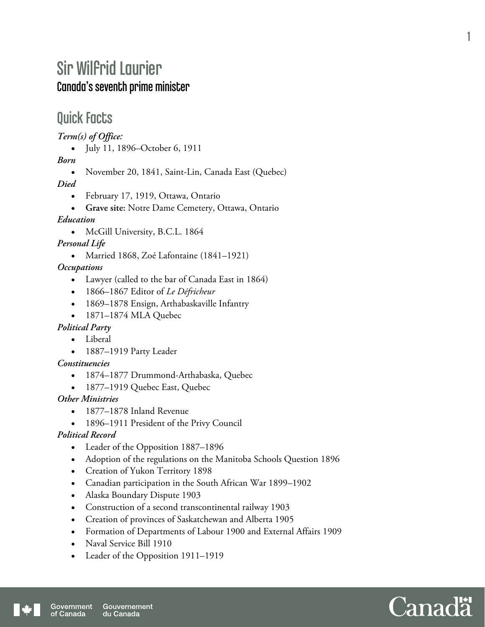# Sir Wilfrid Laurier Canada's seventh prime minister

## Quick Facts

*Term(s) of Office:* 

• July 11, 1896–October 6, 1911

*Born* 

November 20, 1841, Saint-Lin, Canada East (Quebec)

*Died* 

- February 17, 1919, Ottawa, Ontario
- **Grave site:** Notre Dame Cemetery, Ottawa, Ontario

*Education* 

• McGill University, B.C.L. 1864

*Personal Life* 

Married 1868, Zoé Lafontaine (1841–1921)

*Occupations* 

- Lawyer (called to the bar of Canada East in 1864)
- 1866–1867 Editor of *Le Défricheur*
- 1869–1878 Ensign, Arthabaskaville Infantry
- 1871–1874 MLA Quebec

#### *Political Party*

- Liberal
- 1887–1919 Party Leader

*Constituencies* 

- 1874–1877 Drummond-Arthabaska, Quebec
- 1877-1919 Quebec East, Quebec

*Other Ministries* 

- 1877–1878 Inland Revenue
- 1896–1911 President of the Privy Council

#### *Political Record*

- Leader of the Opposition 1887–1896
- Adoption of the regulations on the Manitoba Schools Question 1896
- Creation of Yukon Territory 1898
- Canadian participation in the South African War 1899–1902
- Alaska Boundary Dispute 1903
- Construction of a second transcontinental railway 1903
- Creation of provinces of Saskatchewan and Alberta 1905
- Formation of Departments of Labour 1900 and External Affairs 1909
- Naval Service Bill 1910
- Leader of the Opposition 1911–1919



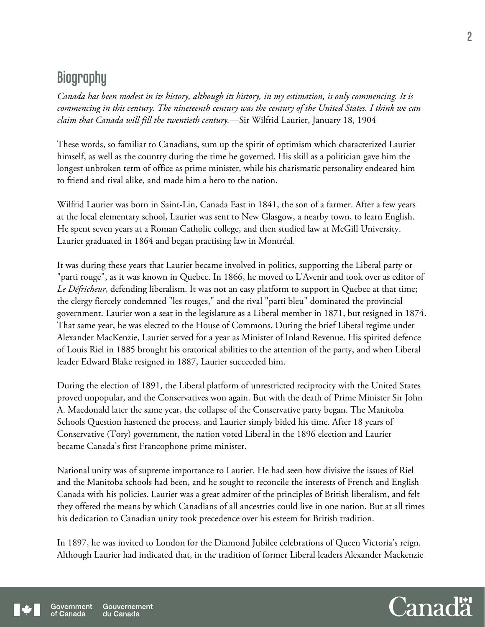# **Biography**

*Canada has been modest in its history, although its history, in my estimation, is only commencing. It is commencing in this century. The nineteenth century was the century of the United States. I think we can claim that Canada will fill the twentieth century.*—Sir Wilfrid Laurier, January 18, 1904

These words, so familiar to Canadians, sum up the spirit of optimism which characterized Laurier himself, as well as the country during the time he governed. His skill as a politician gave him the longest unbroken term of office as prime minister, while his charismatic personality endeared him to friend and rival alike, and made him a hero to the nation.

Wilfrid Laurier was born in Saint-Lin, Canada East in 1841, the son of a farmer. After a few years at the local elementary school, Laurier was sent to New Glasgow, a nearby town, to learn English. He spent seven years at a Roman Catholic college, and then studied law at McGill University. Laurier graduated in 1864 and began practising law in Montréal.

It was during these years that Laurier became involved in politics, supporting the Liberal party or "parti rouge", as it was known in Quebec. In 1866, he moved to L'Avenir and took over as editor of *Le Défricheur*, defending liberalism. It was not an easy platform to support in Quebec at that time; the clergy fiercely condemned "les rouges," and the rival "parti bleu" dominated the provincial government. Laurier won a seat in the legislature as a Liberal member in 1871, but resigned in 1874. That same year, he was elected to the House of Commons. During the brief Liberal regime under Alexander MacKenzie, Laurier served for a year as Minister of Inland Revenue. His spirited defence of Louis Riel in 1885 brought his oratorical abilities to the attention of the party, and when Liberal leader Edward Blake resigned in 1887, Laurier succeeded him.

During the election of 1891, the Liberal platform of unrestricted reciprocity with the United States proved unpopular, and the Conservatives won again. But with the death of Prime Minister Sir John A. Macdonald later the same year, the collapse of the Conservative party began. The Manitoba Schools Question hastened the process, and Laurier simply bided his time. After 18 years of Conservative (Tory) government, the nation voted Liberal in the 1896 election and Laurier became Canada's first Francophone prime minister.

National unity was of supreme importance to Laurier. He had seen how divisive the issues of Riel and the Manitoba schools had been, and he sought to reconcile the interests of French and English Canada with his policies. Laurier was a great admirer of the principles of British liberalism, and felt they offered the means by which Canadians of all ancestries could live in one nation. But at all times his dedication to Canadian unity took precedence over his esteem for British tradition.

In 1897, he was invited to London for the Diamond Jubilee celebrations of Queen Victoria's reign. Although Laurier had indicated that, in the tradition of former Liberal leaders Alexander Mackenzie

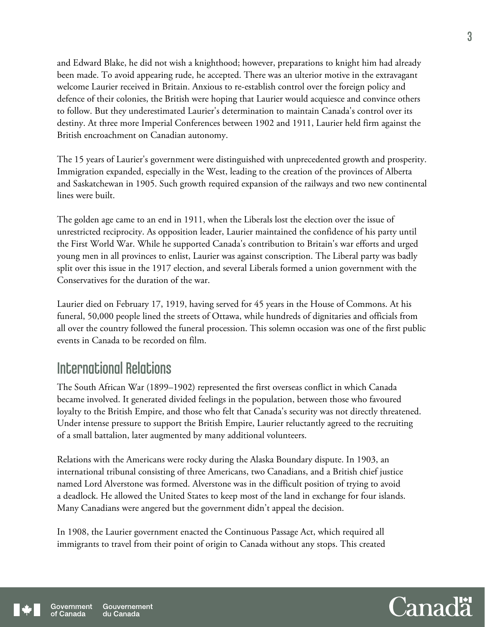and Edward Blake, he did not wish a knighthood; however, preparations to knight him had already been made. To avoid appearing rude, he accepted. There was an ulterior motive in the extravagant welcome Laurier received in Britain. Anxious to re-establish control over the foreign policy and defence of their colonies, the British were hoping that Laurier would acquiesce and convince others to follow. But they underestimated Laurier's determination to maintain Canada's control over its destiny. At three more Imperial Conferences between 1902 and 1911, Laurier held firm against the British encroachment on Canadian autonomy.

The 15 years of Laurier's government were distinguished with unprecedented growth and prosperity. Immigration expanded, especially in the West, leading to the creation of the provinces of Alberta and Saskatchewan in 1905. Such growth required expansion of the railways and two new continental lines were built.

The golden age came to an end in 1911, when the Liberals lost the election over the issue of unrestricted reciprocity. As opposition leader, Laurier maintained the confidence of his party until the First World War. While he supported Canada's contribution to Britain's war efforts and urged young men in all provinces to enlist, Laurier was against conscription. The Liberal party was badly split over this issue in the 1917 election, and several Liberals formed a union government with the Conservatives for the duration of the war.

Laurier died on February 17, 1919, having served for 45 years in the House of Commons. At his funeral, 50,000 people lined the streets of Ottawa, while hundreds of dignitaries and officials from all over the country followed the funeral procession. This solemn occasion was one of the first public events in Canada to be recorded on film.

## International Relations

The South African War (1899–1902) represented the first overseas conflict in which Canada became involved. It generated divided feelings in the population, between those who favoured loyalty to the British Empire, and those who felt that Canada's security was not directly threatened. Under intense pressure to support the British Empire, Laurier reluctantly agreed to the recruiting of a small battalion, later augmented by many additional volunteers.

Relations with the Americans were rocky during the Alaska Boundary dispute. In 1903, an international tribunal consisting of three Americans, two Canadians, and a British chief justice named Lord Alverstone was formed. Alverstone was in the difficult position of trying to avoid a deadlock. He allowed the United States to keep most of the land in exchange for four islands. Many Canadians were angered but the government didn't appeal the decision.

In 1908, the Laurier government enacted the Continuous Passage Act, which required all immigrants to travel from their point of origin to Canada without any stops. This created

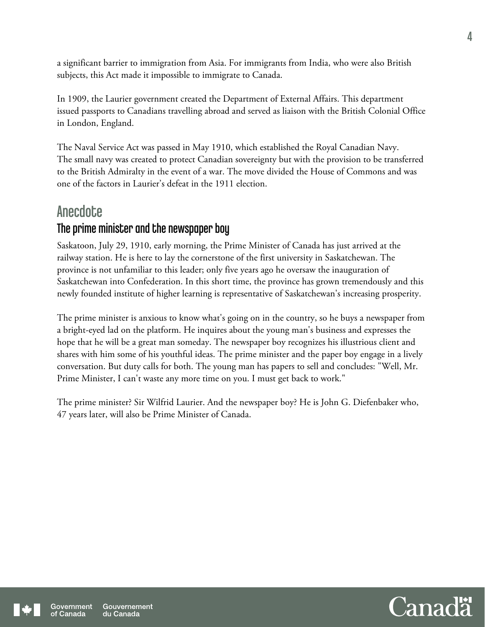a significant barrier to immigration from Asia. For immigrants from India, who were also British subjects, this Act made it impossible to immigrate to Canada.

In 1909, the Laurier government created the Department of External Affairs. This department issued passports to Canadians travelling abroad and served as liaison with the British Colonial Office in London, England.

The Naval Service Act was passed in May 1910, which established the Royal Canadian Navy. The small navy was created to protect Canadian sovereignty but with the provision to be transferred to the British Admiralty in the event of a war. The move divided the House of Commons and was one of the factors in Laurier's defeat in the 1911 election.

### **Anecdote**

### The prime minister and the newspaper boy

Saskatoon, July 29, 1910, early morning, the Prime Minister of Canada has just arrived at the railway station. He is here to lay the cornerstone of the first university in Saskatchewan. The province is not unfamiliar to this leader; only five years ago he oversaw the inauguration of Saskatchewan into Confederation. In this short time, the province has grown tremendously and this newly founded institute of higher learning is representative of Saskatchewan's increasing prosperity.

The prime minister is anxious to know what's going on in the country, so he buys a newspaper from a bright-eyed lad on the platform. He inquires about the young man's business and expresses the hope that he will be a great man someday. The newspaper boy recognizes his illustrious client and shares with him some of his youthful ideas. The prime minister and the paper boy engage in a lively conversation. But duty calls for both. The young man has papers to sell and concludes: "Well, Mr. Prime Minister, I can't waste any more time on you. I must get back to work."

The prime minister? Sir Wilfrid Laurier. And the newspaper boy? He is John G. Diefenbaker who, 47 years later, will also be Prime Minister of Canada.

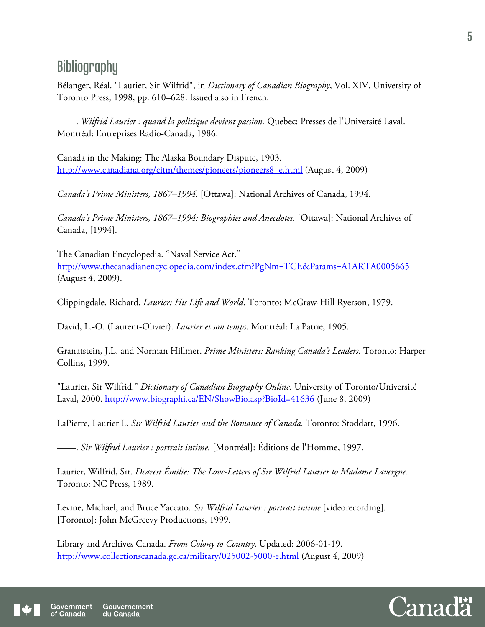# **Bibliography**

Bélanger, Réal. "Laurier, Sir Wilfrid", in *Dictionary of Canadian Biography*, Vol. XIV. University of Toronto Press, 1998, pp. 610–628. Issued also in French.

——. *Wilfrid Laurier : quand la politique devient passion.* Quebec: Presses de l'Université Laval. Montréal: Entreprises Radio-Canada, 1986.

Canada in the Making: The Alaska Boundary Dispute, 1903. http://www.canadiana.org/citm/themes/pioneers/pioneers8\_e.html (August 4, 2009)

*Canada's Prime Ministers, 1867–1994.* [Ottawa]: National Archives of Canada, 1994.

*Canada's Prime Ministers, 1867–1994: Biographies and Anecdotes.* [Ottawa]: National Archives of Canada, [1994].

The Canadian Encyclopedia. "Naval Service Act." http://www.thecanadianencyclopedia.com/index.cfm?PgNm=TCE&Params=A1ARTA0005665 (August 4, 2009).

Clippingdale, Richard. *Laurier: His Life and World*. Toronto: McGraw-Hill Ryerson, 1979.

David, L.-O. (Laurent-Olivier). *Laurier et son temps*. Montréal: La Patrie, 1905.

Granatstein, J.L. and Norman Hillmer. *Prime Ministers: Ranking Canada's Leaders*. Toronto: Harper Collins, 1999.

"Laurier, Sir Wilfrid." *Dictionary of Canadian Biography Online*. University of Toronto/Université Laval, 2000. http://www.biographi.ca/EN/ShowBio.asp?BioId=41636 (June 8, 2009)

LaPierre, Laurier L. *Sir Wilfrid Laurier and the Romance of Canada.* Toronto: Stoddart, 1996.

——. *Sir Wilfrid Laurier : portrait intime.* [Montréal]: Éditions de l'Homme, 1997.

Laurier, Wilfrid, Sir. *Dearest Émilie: The Love-Letters of Sir Wilfrid Laurier to Madame Lavergne*. Toronto: NC Press, 1989.

Levine, Michael, and Bruce Yaccato. *Sir Wilfrid Laurier : portrait intime* [videorecording]*.* [Toronto]: John McGreevy Productions, 1999.

Library and Archives Canada. *From Colony to Country*. Updated: 2006-01-19. http://www.collectionscanada.gc.ca/military/025002-5000-e.html (August 4, 2009)